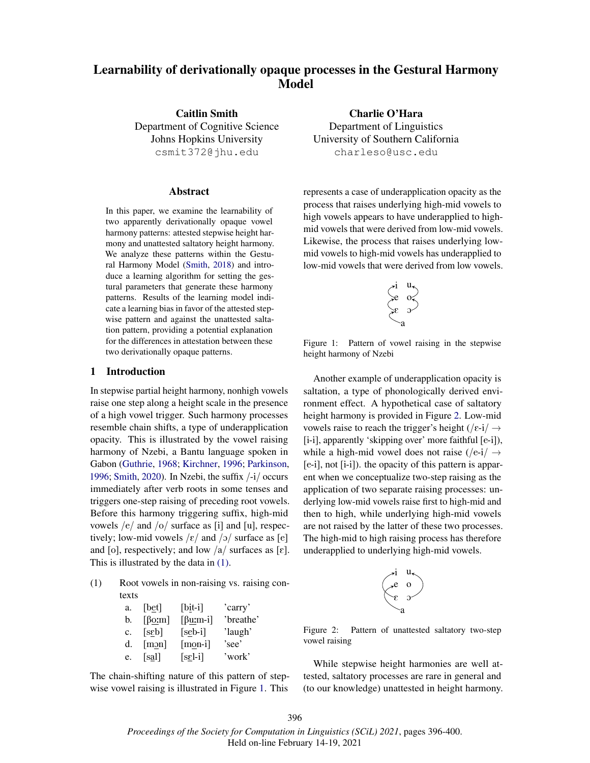# Learnability of derivationally opaque processes in the Gestural Harmony Model

Caitlin Smith Department of Cognitive Science Johns Hopkins University csmit372@jhu.edu

## **Abstract**

In this paper, we examine the learnability of two apparently derivationally opaque vowel harmony patterns: attested stepwise height harmony and unattested saltatory height harmony. We analyze these patterns within the Gestural Harmony Model (Smith, 2018) and introduce a learning algorithm for setting the gestural parameters that generate these harmony patterns. Results of the learning model indicate a learning bias in favor of the attested stepwise pattern and against the unattested saltation pattern, providing a potential explanation for the differences in attestation between these two derivationally opaque patterns.

#### 1 Introduction

In stepwise partial height harmony, nonhigh vowels raise one step along a height scale in the presence of a high vowel trigger. Such harmony processes resemble chain shifts, a type of underapplication opacity. This is illustrated by the vowel raising harmony of Nzebi, a Bantu language spoken in Gabon (Guthrie, 1968; Kirchner, 1996; Parkinson, 1996; Smith, 2020). In Nzebi, the suffix /-i/ occurs immediately after verb roots in some tenses and triggers one-step raising of preceding root vowels. Before this harmony triggering suffix, high-mid vowels /e/ and /o/ surface as [i] and [u], respectively; low-mid vowels  $\frac{\varepsilon}{\varepsilon}$  and  $\frac{\varepsilon}{\varepsilon}$  surface as [e] and [o], respectively; and low  $\frac{a}{\tan \theta}$  surfaces as [ $\epsilon$ ]. This is illustrated by the data in (1).

(1) Root vowels in non-raising vs. raising contexts

| a. | [bet]                            | $[bi t-i]$                         | 'carry'   |
|----|----------------------------------|------------------------------------|-----------|
| b. | $\lceil \beta_0 \text{m} \rceil$ | $\lceil \beta \underline{u}$ :m-i] | 'breathe' |
| c. | [scb]                            | $[seb-i]$                          | 'laugh'   |
| d. | $\lceil \underline{m2n} \rceil$  | $[mon-i]$                          | 'see'     |
| e. | [sa]                             | $[s_2$ -i]                         | 'work'    |

The chain-shifting nature of this pattern of stepwise vowel raising is illustrated in Figure 1. This

Charlie O'Hara Department of Linguistics University of Southern California charleso@usc.edu

represents a case of underapplication opacity as the process that raises underlying high-mid vowels to high vowels appears to have underapplied to highmid vowels that were derived from low-mid vowels. Likewise, the process that raises underlying lowmid vowels to high-mid vowels has underapplied to low-mid vowels that were derived from low vowels.

$$
\begin{pmatrix}i&u\\e&o^z\\e&v\end{pmatrix}
$$

Figure 1: Pattern of vowel raising in the stepwise height harmony of Nzebi

Another example of underapplication opacity is saltation, a type of phonologically derived environment effect. A hypothetical case of saltatory height harmony is provided in Figure 2. Low-mid vowels raise to reach the trigger's height ( $/\varepsilon$ -i $/ \rightarrow$ [i-i], apparently 'skipping over' more faithful [e-i]), while a high-mid vowel does not raise ( $/e-i/ \rightarrow$ [e-i], not [i-i]). the opacity of this pattern is apparent when we conceptualize two-step raising as the application of two separate raising processes: underlying low-mid vowels raise first to high-mid and then to high, while underlying high-mid vowels are not raised by the latter of these two processes. The high-mid to high raising process has therefore underapplied to underlying high-mid vowels.

$$
\begin{pmatrix} \cdot i & u_1 \\ e & 0 \\ e & 0 \end{pmatrix}
$$

Figure 2: Pattern of unattested saltatory two-step vowel raising

While stepwise height harmonies are well attested, saltatory processes are rare in general and (to our knowledge) unattested in height harmony.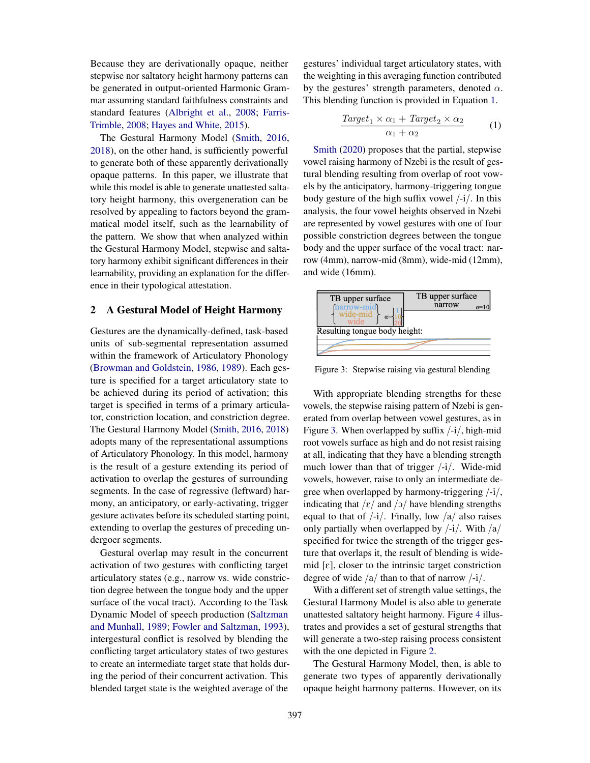Because they are derivationally opaque, neither stepwise nor saltatory height harmony patterns can be generated in output-oriented Harmonic Grammar assuming standard faithfulness constraints and standard features (Albright et al., 2008; Farris-Trimble, 2008; Hayes and White, 2015).

The Gestural Harmony Model (Smith, 2016, 2018), on the other hand, is sufficiently powerful to generate both of these apparently derivationally opaque patterns. In this paper, we illustrate that while this model is able to generate unattested saltatory height harmony, this overgeneration can be resolved by appealing to factors beyond the grammatical model itself, such as the learnability of the pattern. We show that when analyzed within the Gestural Harmony Model, stepwise and saltatory harmony exhibit significant differences in their learnability, providing an explanation for the difference in their typological attestation.

## 2 A Gestural Model of Height Harmony

Gestures are the dynamically-defined, task-based units of sub-segmental representation assumed within the framework of Articulatory Phonology (Browman and Goldstein, 1986, 1989). Each gesture is specified for a target articulatory state to be achieved during its period of activation; this target is specified in terms of a primary articulator, constriction location, and constriction degree. The Gestural Harmony Model (Smith, 2016, 2018) adopts many of the representational assumptions of Articulatory Phonology. In this model, harmony is the result of a gesture extending its period of activation to overlap the gestures of surrounding segments. In the case of regressive (leftward) harmony, an anticipatory, or early-activating, trigger gesture activates before its scheduled starting point, extending to overlap the gestures of preceding undergoer segments.

Gestural overlap may result in the concurrent activation of two gestures with conflicting target articulatory states (e.g., narrow vs. wide constriction degree between the tongue body and the upper surface of the vocal tract). According to the Task Dynamic Model of speech production (Saltzman and Munhall, 1989; Fowler and Saltzman, 1993), intergestural conflict is resolved by blending the conflicting target articulatory states of two gestures to create an intermediate target state that holds during the period of their concurrent activation. This blended target state is the weighted average of the gestures' individual target articulatory states, with the weighting in this averaging function contributed by the gestures' strength parameters, denoted  $\alpha$ . This blending function is provided in Equation 1.

$$
\frac{Target_1 \times \alpha_1 + Target_2 \times \alpha_2}{\alpha_1 + \alpha_2} \tag{1}
$$

Smith (2020) proposes that the partial, stepwise vowel raising harmony of Nzebi is the result of gestural blending resulting from overlap of root vowels by the anticipatory, harmony-triggering tongue body gesture of the high suffix vowel /-i/. In this analysis, the four vowel heights observed in Nzebi are represented by vowel gestures with one of four possible constriction degrees between the tongue body and the upper surface of the vocal tract: narrow (4mm), narrow-mid (8mm), wide-mid (12mm), and wide (16mm).



Figure 3: Stepwise raising via gestural blending

With appropriate blending strengths for these vowels, the stepwise raising pattern of Nzebi is generated from overlap between vowel gestures, as in Figure 3. When overlapped by suffix  $\frac{1}{i}$ , high-mid root vowels surface as high and do not resist raising at all, indicating that they have a blending strength much lower than that of trigger  $\frac{1}{i}$ . Wide-mid vowels, however, raise to only an intermediate degree when overlapped by harmony-triggering  $\frac{1}{i}$ , indicating that  $/\varepsilon$  and  $/\sigma$  have blending strengths equal to that of  $\frac{1}{i}$ . Finally, low  $\frac{a}{a}$  also raises only partially when overlapped by  $\frac{1}{i}$ . With  $\frac{1}{a}$ specified for twice the strength of the trigger gesture that overlaps it, the result of blending is widemid  $[\varepsilon]$ , closer to the intrinsic target constriction degree of wide  $/a$  than to that of narrow  $-i$ .

With a different set of strength value settings, the Gestural Harmony Model is also able to generate unattested saltatory height harmony. Figure 4 illustrates and provides a set of gestural strengths that will generate a two-step raising process consistent with the one depicted in Figure 2.

The Gestural Harmony Model, then, is able to generate two types of apparently derivationally opaque height harmony patterns. However, on its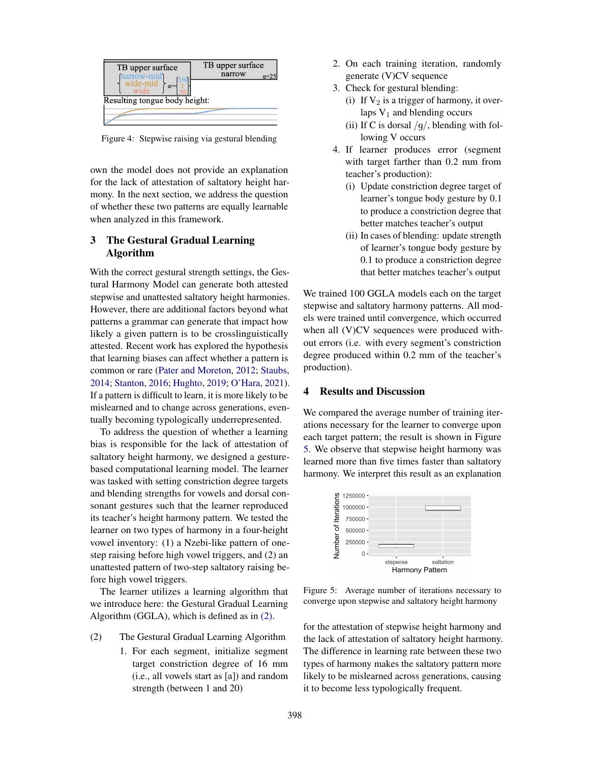| TB upper surface<br>(narrow-mid)<br>wide-mid<br>$\alpha$ =<br>Resulting tongue body height: | TB upper surface<br>narrow<br>$\alpha=25$ |
|---------------------------------------------------------------------------------------------|-------------------------------------------|
|                                                                                             |                                           |

Figure 4: Stepwise raising via gestural blending

own the model does not provide an explanation for the lack of attestation of saltatory height harmony. In the next section, we address the question of whether these two patterns are equally learnable when analyzed in this framework.

# 3 The Gestural Gradual Learning Algorithm

With the correct gestural strength settings, the Gestural Harmony Model can generate both attested stepwise and unattested saltatory height harmonies. However, there are additional factors beyond what patterns a grammar can generate that impact how likely a given pattern is to be crosslinguistically attested. Recent work has explored the hypothesis that learning biases can affect whether a pattern is common or rare (Pater and Moreton, 2012; Staubs, 2014; Stanton, 2016; Hughto, 2019; O'Hara, 2021). If a pattern is difficult to learn, it is more likely to be mislearned and to change across generations, eventually becoming typologically underrepresented.

To address the question of whether a learning bias is responsible for the lack of attestation of saltatory height harmony, we designed a gesturebased computational learning model. The learner was tasked with setting constriction degree targets and blending strengths for vowels and dorsal consonant gestures such that the learner reproduced its teacher's height harmony pattern. We tested the learner on two types of harmony in a four-height vowel inventory: (1) a Nzebi-like pattern of onestep raising before high vowel triggers, and (2) an unattested pattern of two-step saltatory raising before high vowel triggers.

The learner utilizes a learning algorithm that we introduce here: the Gestural Gradual Learning Algorithm (GGLA), which is defined as in (2).

- (2) The Gestural Gradual Learning Algorithm
	- 1. For each segment, initialize segment target constriction degree of 16 mm (i.e., all vowels start as [a]) and random strength (between 1 and 20)
- 2. On each training iteration, randomly generate (V)CV sequence
- 3. Check for gestural blending:
	- (i) If  $V_2$  is a trigger of harmony, it overlaps  $V_1$  and blending occurs
	- (ii) If C is dorsal  $/q/$ , blending with following V occurs
- 4. If learner produces error (segment with target farther than 0.2 mm from teacher's production):
	- (i) Update constriction degree target of learner's tongue body gesture by 0.1 to produce a constriction degree that better matches teacher's output
	- (ii) In cases of blending: update strength of learner's tongue body gesture by 0.1 to produce a constriction degree that better matches teacher's output

We trained 100 GGLA models each on the target stepwise and saltatory harmony patterns. All models were trained until convergence, which occurred when all (V)CV sequences were produced without errors (i.e. with every segment's constriction degree produced within 0.2 mm of the teacher's production).

## 4 Results and Discussion

We compared the average number of training iterations necessary for the learner to converge upon each target pattern; the result is shown in Figure 5. We observe that stepwise height harmony was learned more than five times faster than saltatory harmony. We interpret this result as an explanation



Figure 5: Average number of iterations necessary to converge upon stepwise and saltatory height harmony

for the attestation of stepwise height harmony and the lack of attestation of saltatory height harmony. The difference in learning rate between these two types of harmony makes the saltatory pattern more likely to be mislearned across generations, causing it to become less typologically frequent.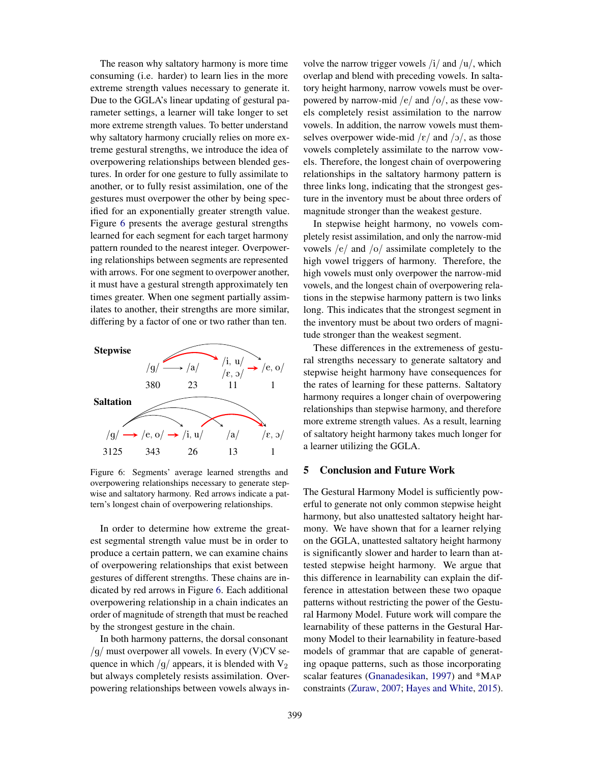The reason why saltatory harmony is more time consuming (i.e. harder) to learn lies in the more extreme strength values necessary to generate it. Due to the GGLA's linear updating of gestural parameter settings, a learner will take longer to set more extreme strength values. To better understand why saltatory harmony crucially relies on more extreme gestural strengths, we introduce the idea of overpowering relationships between blended gestures. In order for one gesture to fully assimilate to another, or to fully resist assimilation, one of the gestures must overpower the other by being specified for an exponentially greater strength value. Figure 6 presents the average gestural strengths learned for each segment for each target harmony pattern rounded to the nearest integer. Overpowering relationships between segments are represented with arrows. For one segment to overpower another, it must have a gestural strength approximately ten times greater. When one segment partially assimilates to another, their strengths are more similar, differing by a factor of one or two rather than ten.



Figure 6: Segments' average learned strengths and overpowering relationships necessary to generate stepwise and saltatory harmony. Red arrows indicate a pattern's longest chain of overpowering relationships.

In order to determine how extreme the greatest segmental strength value must be in order to produce a certain pattern, we can examine chains of overpowering relationships that exist between gestures of different strengths. These chains are indicated by red arrows in Figure 6. Each additional overpowering relationship in a chain indicates an order of magnitude of strength that must be reached by the strongest gesture in the chain.

In both harmony patterns, the dorsal consonant  $/g/must$  overpower all vowels. In every (V)CV sequence in which  $/q$  appears, it is blended with  $V_2$ but always completely resists assimilation. Overpowering relationships between vowels always involve the narrow trigger vowels  $\frac{1}{4}$  and  $\frac{1}{u}$ , which overlap and blend with preceding vowels. In saltatory height harmony, narrow vowels must be overpowered by narrow-mid /e/ and /o/, as these vowels completely resist assimilation to the narrow vowels. In addition, the narrow vowels must themselves overpower wide-mid / $\varepsilon$ / and / $\frac{1}{2}$ /, as those vowels completely assimilate to the narrow vowels. Therefore, the longest chain of overpowering relationships in the saltatory harmony pattern is three links long, indicating that the strongest gesture in the inventory must be about three orders of magnitude stronger than the weakest gesture.

In stepwise height harmony, no vowels completely resist assimilation, and only the narrow-mid vowels /e/ and /o/ assimilate completely to the high vowel triggers of harmony. Therefore, the high vowels must only overpower the narrow-mid vowels, and the longest chain of overpowering relations in the stepwise harmony pattern is two links long. This indicates that the strongest segment in the inventory must be about two orders of magnitude stronger than the weakest segment.

These differences in the extremeness of gestural strengths necessary to generate saltatory and stepwise height harmony have consequences for the rates of learning for these patterns. Saltatory harmony requires a longer chain of overpowering relationships than stepwise harmony, and therefore more extreme strength values. As a result, learning of saltatory height harmony takes much longer for a learner utilizing the GGLA.

## 5 Conclusion and Future Work

The Gestural Harmony Model is sufficiently powerful to generate not only common stepwise height harmony, but also unattested saltatory height harmony. We have shown that for a learner relying on the GGLA, unattested saltatory height harmony is significantly slower and harder to learn than attested stepwise height harmony. We argue that this difference in learnability can explain the difference in attestation between these two opaque patterns without restricting the power of the Gestural Harmony Model. Future work will compare the learnability of these patterns in the Gestural Harmony Model to their learnability in feature-based models of grammar that are capable of generating opaque patterns, such as those incorporating scalar features (Gnanadesikan, 1997) and \*MAP constraints (Zuraw, 2007; Hayes and White, 2015).